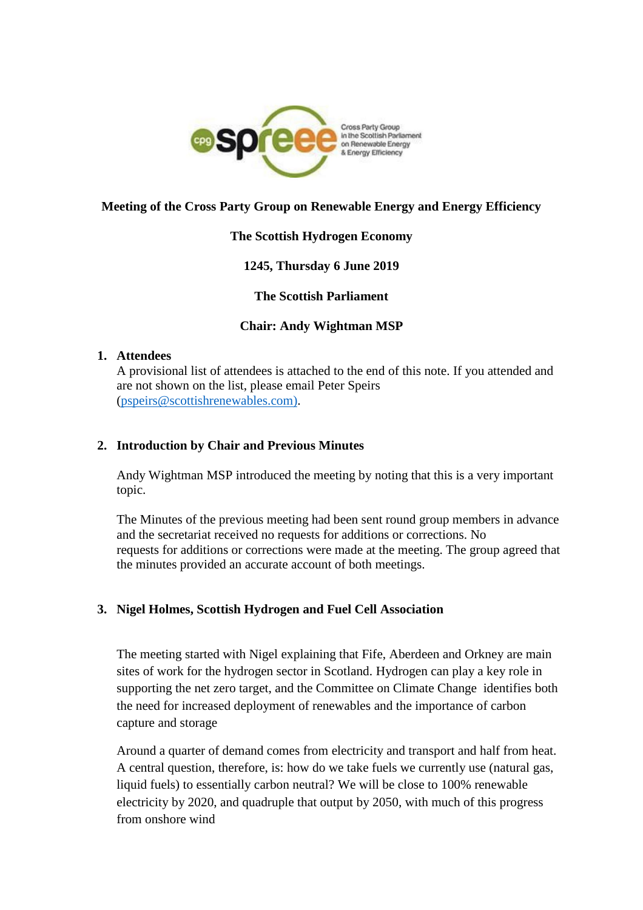

# **Meeting of the Cross Party Group on Renewable Energy and Energy Efficiency**

## **The Scottish Hydrogen Economy**

# **1245, Thursday 6 June 2019**

**The Scottish Parliament**

# **Chair: Andy Wightman MSP**

#### **1. Attendees**

A provisional list of attendees is attached to the end of this note. If you attended and are not shown on the list, please email Peter Speirs [\(pspeirs@scottishrenewables.com\).](mailto:pspeirs@scottishrenewables.com))

## **2. Introduction by Chair and Previous Minutes**

Andy Wightman MSP introduced the meeting by noting that this is a very important topic.

The Minutes of the previous meeting had been sent round group members in advance and the secretariat received no requests for additions or corrections. No requests for additions or corrections were made at the meeting. The group agreed that the minutes provided an accurate account of both meetings.

# **3. Nigel Holmes, Scottish Hydrogen and Fuel Cell Association**

The meeting started with Nigel explaining that Fife, Aberdeen and Orkney are main sites of work for the hydrogen sector in Scotland. Hydrogen can play a key role in supporting the net zero target, and the Committee on Climate Change identifies both the need for increased deployment of renewables and the importance of carbon capture and storage

Around a quarter of demand comes from electricity and transport and half from heat. A central question, therefore, is: how do we take fuels we currently use (natural gas, liquid fuels) to essentially carbon neutral? We will be close to 100% renewable electricity by 2020, and quadruple that output by 2050, with much of this progress from onshore wind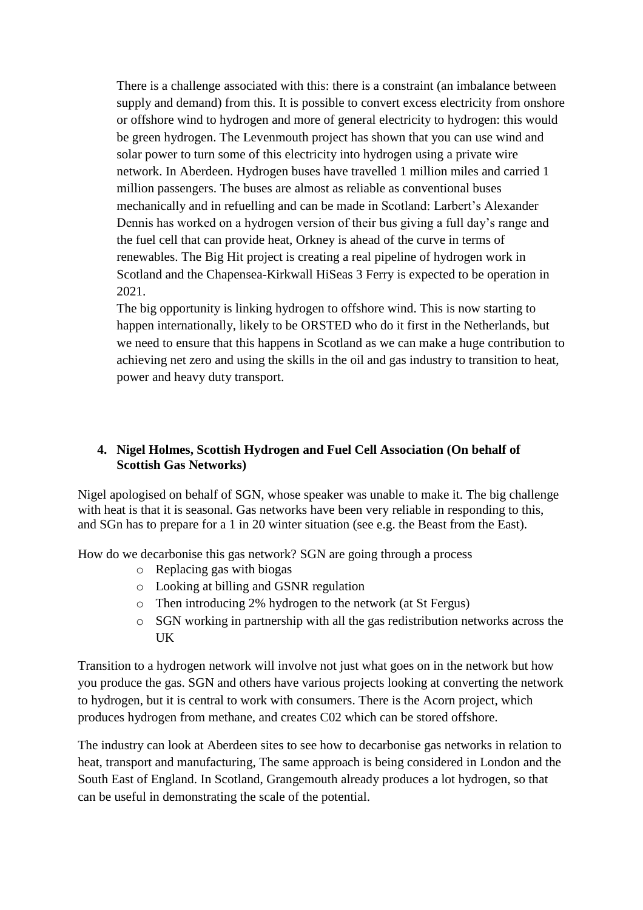There is a challenge associated with this: there is a constraint (an imbalance between supply and demand) from this. It is possible to convert excess electricity from onshore or offshore wind to hydrogen and more of general electricity to hydrogen: this would be green hydrogen. The Levenmouth project has shown that you can use wind and solar power to turn some of this electricity into hydrogen using a private wire network. In Aberdeen. Hydrogen buses have travelled 1 million miles and carried 1 million passengers. The buses are almost as reliable as conventional buses mechanically and in refuelling and can be made in Scotland: Larbert's Alexander Dennis has worked on a hydrogen version of their bus giving a full day's range and the fuel cell that can provide heat, Orkney is ahead of the curve in terms of renewables. The Big Hit project is creating a real pipeline of hydrogen work in Scotland and the Chapensea-Kirkwall HiSeas 3 Ferry is expected to be operation in 2021.

The big opportunity is linking hydrogen to offshore wind. This is now starting to happen internationally, likely to be ORSTED who do it first in the Netherlands, but we need to ensure that this happens in Scotland as we can make a huge contribution to achieving net zero and using the skills in the oil and gas industry to transition to heat, power and heavy duty transport.

# **4. Nigel Holmes, Scottish Hydrogen and Fuel Cell Association (On behalf of Scottish Gas Networks)**

Nigel apologised on behalf of SGN, whose speaker was unable to make it. The big challenge with heat is that it is seasonal. Gas networks have been very reliable in responding to this, and SGn has to prepare for a 1 in 20 winter situation (see e.g. the Beast from the East).

How do we decarbonise this gas network? SGN are going through a process

- o Replacing gas with biogas
- o Looking at billing and GSNR regulation
- o Then introducing 2% hydrogen to the network (at St Fergus)
- o SGN working in partnership with all the gas redistribution networks across the **IK**

Transition to a hydrogen network will involve not just what goes on in the network but how you produce the gas. SGN and others have various projects looking at converting the network to hydrogen, but it is central to work with consumers. There is the Acorn project, which produces hydrogen from methane, and creates C02 which can be stored offshore.

The industry can look at Aberdeen sites to see how to decarbonise gas networks in relation to heat, transport and manufacturing, The same approach is being considered in London and the South East of England. In Scotland, Grangemouth already produces a lot hydrogen, so that can be useful in demonstrating the scale of the potential.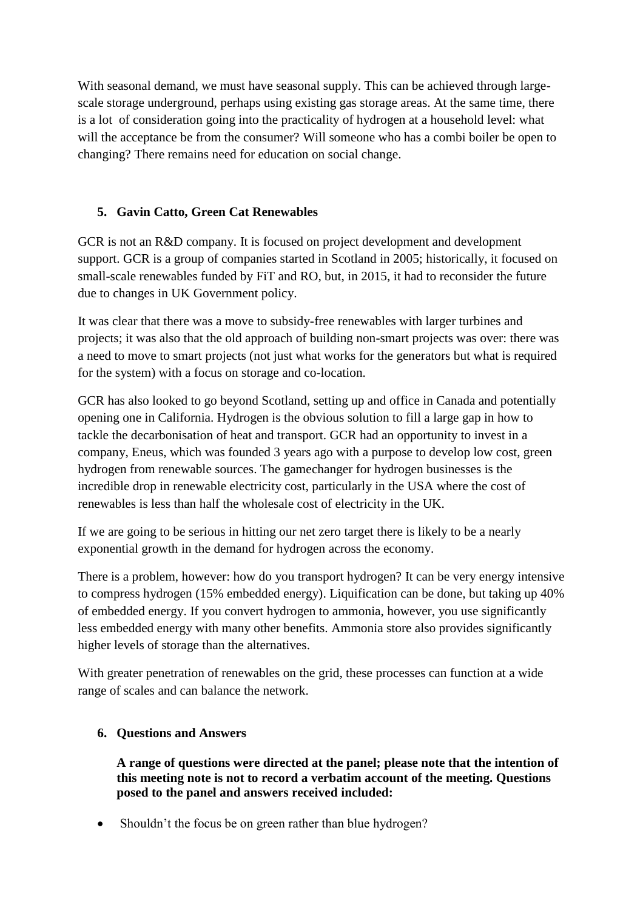With seasonal demand, we must have seasonal supply. This can be achieved through largescale storage underground, perhaps using existing gas storage areas. At the same time, there is a lot of consideration going into the practicality of hydrogen at a household level: what will the acceptance be from the consumer? Will someone who has a combi boiler be open to changing? There remains need for education on social change.

# **5. Gavin Catto, Green Cat Renewables**

GCR is not an R&D company. It is focused on project development and development support. GCR is a group of companies started in Scotland in 2005; historically, it focused on small-scale renewables funded by FiT and RO, but, in 2015, it had to reconsider the future due to changes in UK Government policy.

It was clear that there was a move to subsidy-free renewables with larger turbines and projects; it was also that the old approach of building non-smart projects was over: there was a need to move to smart projects (not just what works for the generators but what is required for the system) with a focus on storage and co-location.

GCR has also looked to go beyond Scotland, setting up and office in Canada and potentially opening one in California. Hydrogen is the obvious solution to fill a large gap in how to tackle the decarbonisation of heat and transport. GCR had an opportunity to invest in a company, Eneus, which was founded 3 years ago with a purpose to develop low cost, green hydrogen from renewable sources. The gamechanger for hydrogen businesses is the incredible drop in renewable electricity cost, particularly in the USA where the cost of renewables is less than half the wholesale cost of electricity in the UK.

If we are going to be serious in hitting our net zero target there is likely to be a nearly exponential growth in the demand for hydrogen across the economy.

There is a problem, however: how do you transport hydrogen? It can be very energy intensive to compress hydrogen (15% embedded energy). Liquification can be done, but taking up 40% of embedded energy. If you convert hydrogen to ammonia, however, you use significantly less embedded energy with many other benefits. Ammonia store also provides significantly higher levels of storage than the alternatives.

With greater penetration of renewables on the grid, these processes can function at a wide range of scales and can balance the network.

# **6. Questions and Answers**

**A range of questions were directed at the panel; please note that the intention of this meeting note is not to record a verbatim account of the meeting. Questions posed to the panel and answers received included:**

Shouldn't the focus be on green rather than blue hydrogen?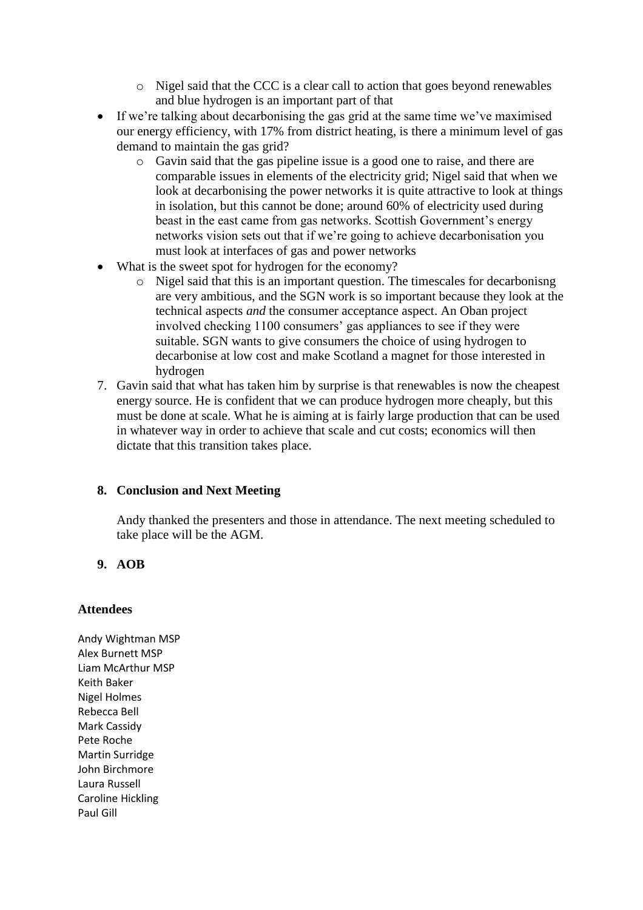- o Nigel said that the CCC is a clear call to action that goes beyond renewables and blue hydrogen is an important part of that
- If we're talking about decarbonising the gas grid at the same time we've maximised our energy efficiency, with 17% from district heating, is there a minimum level of gas demand to maintain the gas grid?
	- o Gavin said that the gas pipeline issue is a good one to raise, and there are comparable issues in elements of the electricity grid; Nigel said that when we look at decarbonising the power networks it is quite attractive to look at things in isolation, but this cannot be done; around 60% of electricity used during beast in the east came from gas networks. Scottish Government's energy networks vision sets out that if we're going to achieve decarbonisation you must look at interfaces of gas and power networks
- What is the sweet spot for hydrogen for the economy?
	- o Nigel said that this is an important question. The timescales for decarbonisng are very ambitious, and the SGN work is so important because they look at the technical aspects *and* the consumer acceptance aspect. An Oban project involved checking 1100 consumers' gas appliances to see if they were suitable. SGN wants to give consumers the choice of using hydrogen to decarbonise at low cost and make Scotland a magnet for those interested in hydrogen
- 7. Gavin said that what has taken him by surprise is that renewables is now the cheapest energy source. He is confident that we can produce hydrogen more cheaply, but this must be done at scale. What he is aiming at is fairly large production that can be used in whatever way in order to achieve that scale and cut costs; economics will then dictate that this transition takes place.

## **8. Conclusion and Next Meeting**

Andy thanked the presenters and those in attendance. The next meeting scheduled to take place will be the AGM.

## **9. AOB**

#### **Attendees**

Andy Wightman MSP Alex Burnett MSP Liam McArthur MSP Keith Baker Nigel Holmes Rebecca Bell Mark Cassidy Pete Roche Martin Surridge John Birchmore Laura Russell Caroline Hickling Paul Gill